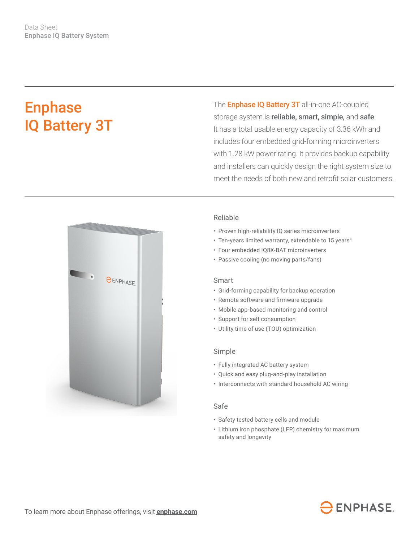# Enphase IQ Battery 3T

The **Enphase IQ Battery 3T** all-in-one AC-coupled storage system is reliable, smart, simple, and safe. It has a total usable energy capacity of 3.36 kWh and includes four embedded grid-forming microinverters with 1.28 kW power rating. It provides backup capability and installers can quickly design the right system size to meet the needs of both new and retrofit solar customers.



## Reliable

- Proven high-reliability IQ series microinverters
- Ten-years limited warranty, extendable to 15 years<sup>4</sup>
- Four embedded IQ8X-BAT microinverters
- Passive cooling (no moving parts/fans)

## Smart

- Grid-forming capability for backup operation
- • Remote software and firmware upgrade
- Mobile app-based monitoring and control
- Support for self consumption
- Utility time of use (TOU) optimization

#### Simple

- Fully integrated AC battery system
- Quick and easy plug-and-play installation
- Interconnects with standard household AC wiring

## Safe

- Safety tested battery cells and module
- Lithium iron phosphate (LFP) chemistry for maximum safety and longevity